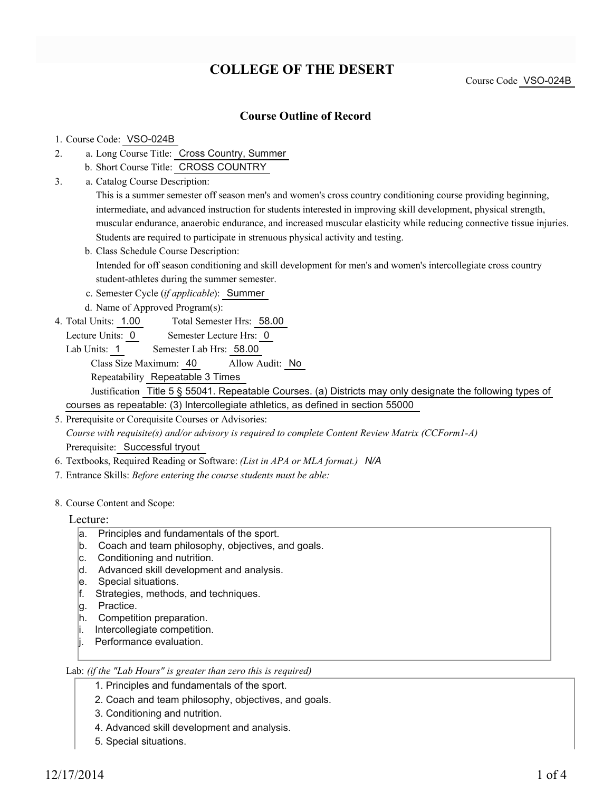## **COLLEGE OF THE DESERT**

Course Code VSO-024B

### **Course Outline of Record**

#### 1. Course Code: VSO-024B

- a. Long Course Title: Cross Country, Summer 2.
	- b. Short Course Title: CROSS COUNTRY
- Catalog Course Description: a. 3.

This is a summer semester off season men's and women's cross country conditioning course providing beginning, intermediate, and advanced instruction for students interested in improving skill development, physical strength, muscular endurance, anaerobic endurance, and increased muscular elasticity while reducing connective tissue injuries. Students are required to participate in strenuous physical activity and testing.

b. Class Schedule Course Description:

Intended for off season conditioning and skill development for men's and women's intercollegiate cross country student-athletes during the summer semester.

- c. Semester Cycle (*if applicable*): Summer
- d. Name of Approved Program(s):
- Total Semester Hrs: 58.00 4. Total Units: 1.00
	- Lecture Units: 0 Semester Lecture Hrs: 0
	- Lab Units: 1 Semester Lab Hrs: 58.00

Class Size Maximum: 40 Allow Audit: No

Repeatability Repeatable 3 Times

Justification Title 5 § 55041. Repeatable Courses. (a) Districts may only designate the following types of courses as repeatable: (3) Intercollegiate athletics, as defined in section 55000

- 5. Prerequisite or Corequisite Courses or Advisories: *Course with requisite(s) and/or advisory is required to complete Content Review Matrix (CCForm1-A)* Prerequisite: Successful tryout
- 6. Textbooks, Required Reading or Software: *(List in APA or MLA format.) N/A*
- 7. Entrance Skills: *Before entering the course students must be able:*
- 8. Course Content and Scope:

#### Lecture:

- a. Principles and fundamentals of the sport.
- b. Coach and team philosophy, objectives, and goals.
- c. Conditioning and nutrition.
- d. Advanced skill development and analysis.
- e. Special situations.
- f. Strategies, methods, and techniques.
- q. Practice.
- h. Competition preparation.
- i. Intercollegiate competition.
- li. Performance evaluation.

#### Lab: *(if the "Lab Hours" is greater than zero this is required)*

1. Principles and fundamentals of the sport.

- 2. Coach and team philosophy, objectives, and goals.
- 3. Conditioning and nutrition.
- 4. Advanced skill development and analysis.
- 5. Special situations.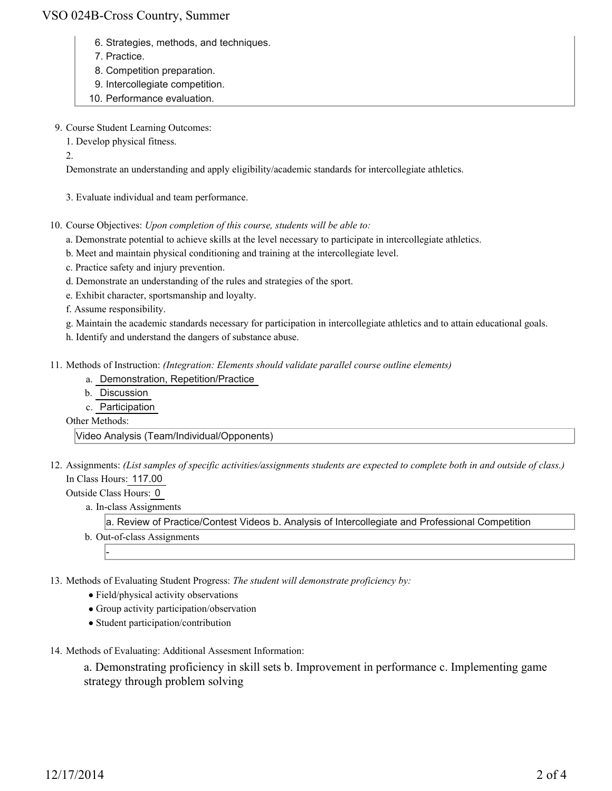## VSO 024B-Cross Country, Summer

- 6. Strategies, methods, and techniques.
- 7. Practice.
- 8. Competition preparation.
- 9. Intercollegiate competition.
- 10. Performance evaluation.
- 9. Course Student Learning Outcomes:
	- 1. Develop physical fitness.

2.

Demonstrate an understanding and apply eligibility/academic standards for intercollegiate athletics.

3. Evaluate individual and team performance.

10. Course Objectives: Upon completion of this course, students will be able to:

- a. Demonstrate potential to achieve skills at the level necessary to participate in intercollegiate athletics.
- b. Meet and maintain physical conditioning and training at the intercollegiate level.
- c. Practice safety and injury prevention.
- d. Demonstrate an understanding of the rules and strategies of the sport.
- e. Exhibit character, sportsmanship and loyalty.
- f. Assume responsibility.
- g. Maintain the academic standards necessary for participation in intercollegiate athletics and to attain educational goals.
- h. Identify and understand the dangers of substance abuse.
- Methods of Instruction: *(Integration: Elements should validate parallel course outline elements)* 11.
	- a. Demonstration, Repetition/Practice
	- b. Discussion
	- c. Participation
	- Other Methods:

Video Analysis (Team/Individual/Opponents)

12. Assignments: (List samples of specific activities/assignments students are expected to complete both in and outside of class.) In Class Hours: 117.00

Outside Class Hours: 0

-

a. In-class Assignments

a. Review of Practice/Contest Videos b. Analysis of Intercollegiate and Professional Competition

b. Out-of-class Assignments

13. Methods of Evaluating Student Progress: The student will demonstrate proficiency by:

- Field/physical activity observations
- Group activity participation/observation
- Student participation/contribution
- 14. Methods of Evaluating: Additional Assesment Information:

a. Demonstrating proficiency in skill sets b. Improvement in performance c. Implementing game strategy through problem solving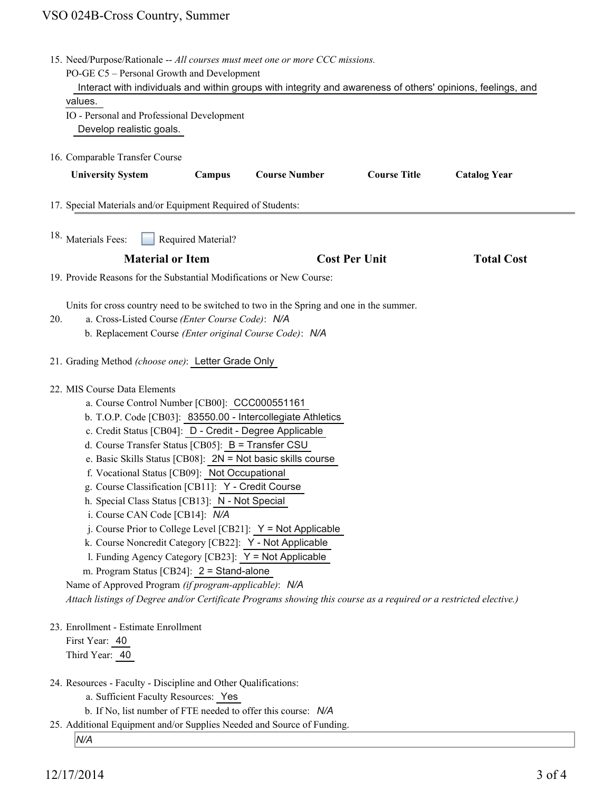# VSO 024B-Cross Country, Summer

|                                                                                                                                                                                                                                                                                                                                                                                                                                                                                                                                                                                                                                                                                                                                                                                                                                                                                                                                           | 15. Need/Purpose/Rationale -- All courses must meet one or more CCC missions.<br>PO-GE C5 - Personal Growth and Development<br>Interact with individuals and within groups with integrity and awareness of others' opinions, feelings, and<br>values.<br>IO - Personal and Professional Development |                    |                      |                      |                     |
|-------------------------------------------------------------------------------------------------------------------------------------------------------------------------------------------------------------------------------------------------------------------------------------------------------------------------------------------------------------------------------------------------------------------------------------------------------------------------------------------------------------------------------------------------------------------------------------------------------------------------------------------------------------------------------------------------------------------------------------------------------------------------------------------------------------------------------------------------------------------------------------------------------------------------------------------|-----------------------------------------------------------------------------------------------------------------------------------------------------------------------------------------------------------------------------------------------------------------------------------------------------|--------------------|----------------------|----------------------|---------------------|
|                                                                                                                                                                                                                                                                                                                                                                                                                                                                                                                                                                                                                                                                                                                                                                                                                                                                                                                                           |                                                                                                                                                                                                                                                                                                     |                    |                      |                      |                     |
|                                                                                                                                                                                                                                                                                                                                                                                                                                                                                                                                                                                                                                                                                                                                                                                                                                                                                                                                           | Develop realistic goals.                                                                                                                                                                                                                                                                            |                    |                      |                      |                     |
|                                                                                                                                                                                                                                                                                                                                                                                                                                                                                                                                                                                                                                                                                                                                                                                                                                                                                                                                           | 16. Comparable Transfer Course                                                                                                                                                                                                                                                                      |                    |                      |                      |                     |
|                                                                                                                                                                                                                                                                                                                                                                                                                                                                                                                                                                                                                                                                                                                                                                                                                                                                                                                                           | <b>University System</b>                                                                                                                                                                                                                                                                            | Campus             | <b>Course Number</b> | <b>Course Title</b>  | <b>Catalog Year</b> |
|                                                                                                                                                                                                                                                                                                                                                                                                                                                                                                                                                                                                                                                                                                                                                                                                                                                                                                                                           | 17. Special Materials and/or Equipment Required of Students:                                                                                                                                                                                                                                        |                    |                      |                      |                     |
|                                                                                                                                                                                                                                                                                                                                                                                                                                                                                                                                                                                                                                                                                                                                                                                                                                                                                                                                           | 18. Materials Fees:                                                                                                                                                                                                                                                                                 | Required Material? |                      |                      |                     |
|                                                                                                                                                                                                                                                                                                                                                                                                                                                                                                                                                                                                                                                                                                                                                                                                                                                                                                                                           | <b>Material or Item</b>                                                                                                                                                                                                                                                                             |                    |                      | <b>Cost Per Unit</b> | <b>Total Cost</b>   |
| 19. Provide Reasons for the Substantial Modifications or New Course:                                                                                                                                                                                                                                                                                                                                                                                                                                                                                                                                                                                                                                                                                                                                                                                                                                                                      |                                                                                                                                                                                                                                                                                                     |                    |                      |                      |                     |
| 20.                                                                                                                                                                                                                                                                                                                                                                                                                                                                                                                                                                                                                                                                                                                                                                                                                                                                                                                                       | Units for cross country need to be switched to two in the Spring and one in the summer.<br>a. Cross-Listed Course (Enter Course Code): N/A<br>b. Replacement Course (Enter original Course Code): N/A                                                                                               |                    |                      |                      |                     |
|                                                                                                                                                                                                                                                                                                                                                                                                                                                                                                                                                                                                                                                                                                                                                                                                                                                                                                                                           | 21. Grading Method (choose one): Letter Grade Only                                                                                                                                                                                                                                                  |                    |                      |                      |                     |
| 22. MIS Course Data Elements<br>a. Course Control Number [CB00]: CCC000551161<br>b. T.O.P. Code [CB03]: 83550.00 - Intercollegiate Athletics<br>c. Credit Status [CB04]: D - Credit - Degree Applicable<br>d. Course Transfer Status [CB05]: B = Transfer CSU<br>e. Basic Skills Status [CB08]: $2N = Not$ basic skills course<br>f. Vocational Status [CB09]: Not Occupational<br>g. Course Classification [CB11]: Y - Credit Course<br>h. Special Class Status [CB13]: N - Not Special<br>i. Course CAN Code [CB14]: N/A<br>j. Course Prior to College Level [CB21]: Y = Not Applicable<br>k. Course Noncredit Category [CB22]: Y - Not Applicable<br>1. Funding Agency Category [CB23]: Y = Not Applicable<br>m. Program Status [CB24]: 2 = Stand-alone<br>Name of Approved Program (if program-applicable): N/A<br>Attach listings of Degree and/or Certificate Programs showing this course as a required or a restricted elective.) |                                                                                                                                                                                                                                                                                                     |                    |                      |                      |                     |
|                                                                                                                                                                                                                                                                                                                                                                                                                                                                                                                                                                                                                                                                                                                                                                                                                                                                                                                                           | 23. Enrollment - Estimate Enrollment<br>First Year: 40<br>Third Year: 40                                                                                                                                                                                                                            |                    |                      |                      |                     |
|                                                                                                                                                                                                                                                                                                                                                                                                                                                                                                                                                                                                                                                                                                                                                                                                                                                                                                                                           | 24. Resources - Faculty - Discipline and Other Qualifications:<br>a. Sufficient Faculty Resources: Yes<br>b. If No, list number of FTE needed to offer this course: N/A<br>25. Additional Equipment and/or Supplies Needed and Source of Funding.                                                   |                    |                      |                      |                     |
|                                                                                                                                                                                                                                                                                                                                                                                                                                                                                                                                                                                                                                                                                                                                                                                                                                                                                                                                           | N/A                                                                                                                                                                                                                                                                                                 |                    |                      |                      |                     |